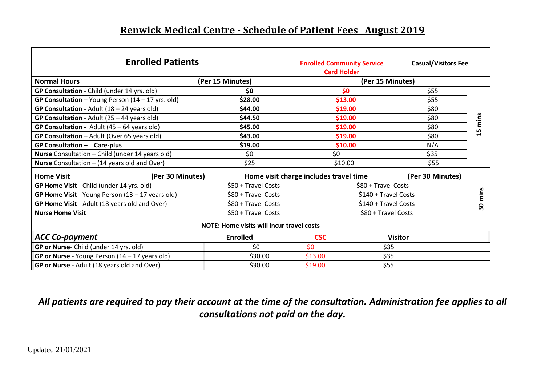## **Renwick Medical Centre - Schedule of Patient Fees August 2019**

| <b>Enrolled Patients</b>                            |                                                            | <b>Enrolled Community Service</b><br><b>Card Holder</b> | <b>Casual/Visitors Fee</b> |      |  |
|-----------------------------------------------------|------------------------------------------------------------|---------------------------------------------------------|----------------------------|------|--|
| <b>Normal Hours</b><br>(Per 15 Minutes)             |                                                            | (Per 15 Minutes)                                        |                            |      |  |
| GP Consultation - Child (under 14 yrs. old)         | \$0                                                        | \$0                                                     | \$55                       |      |  |
| GP Consultation - Young Person $(14 - 17$ yrs. old) | \$28.00                                                    | \$13.00                                                 | \$55                       |      |  |
| GP Consultation - Adult $(18 - 24$ years old)       | \$44.00                                                    | \$19.00                                                 | \$80                       |      |  |
| GP Consultation - Adult (25 - 44 years old)         | \$44.50                                                    | \$19.00                                                 | \$80                       | mins |  |
| GP Consultation - Adult $(45 - 64$ years old)       | \$45.00                                                    | \$19.00                                                 | \$80                       | Lŋ   |  |
| GP Consultation - Adult (Over 65 years old)         | \$43.00                                                    | \$19.00                                                 | \$80                       |      |  |
| GP Consultation - Care-plus                         | \$19.00                                                    | \$10.00                                                 | N/A                        |      |  |
| Nurse Consultation - Child (under 14 years old)     | \$0                                                        | \$0                                                     | \$35                       |      |  |
| Nurse Consultation - (14 years old and Over)        | \$25                                                       | \$10.00                                                 | \$55                       |      |  |
| <b>Home Visit</b><br>(Per 30 Minutes)               | Home visit charge includes travel time<br>(Per 30 Minutes) |                                                         |                            |      |  |
| GP Home Visit - Child (under 14 yrs. old)           | \$50 + Travel Costs                                        | \$80 + Travel Costs                                     |                            |      |  |
| GP Home Visit - Young Person $(13 - 17$ years old)  | \$80 + Travel Costs                                        | mins<br>\$140 + Travel Costs                            |                            |      |  |
| GP Home Visit - Adult (18 years old and Over)       | \$80 + Travel Costs                                        | \$140 + Travel Costs<br>30                              |                            |      |  |
| <b>Nurse Home Visit</b>                             | \$50 + Travel Costs                                        | \$80 + Travel Costs                                     |                            |      |  |
| <b>NOTE: Home visits will incur travel costs</b>    |                                                            |                                                         |                            |      |  |
| <b>ACC Co-payment</b>                               | <b>Enrolled</b>                                            | <b>CSC</b>                                              | <b>Visitor</b>             |      |  |
| GP or Nurse- Child (under 14 yrs. old)              | \$0                                                        | \$0                                                     | \$35                       |      |  |
| GP or Nurse - Young Person $(14 - 17$ years old)    | \$30.00                                                    | \$13.00                                                 | \$35                       |      |  |
| GP or Nurse - Adult (18 years old and Over)         | \$30.00                                                    | \$19.00                                                 | \$55                       |      |  |

*All patients are required to pay their account at the time of the consultation. Administration fee applies to all consultations not paid on the day.*